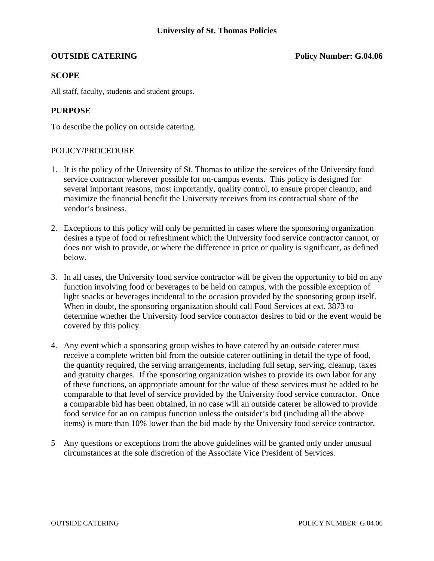**OUTSIDE CATERING Policy Number: G.04.06** 

# **SCOPE**

All staff, faculty, students and student groups.

# **PURPOSE**

To describe the policy on outside catering.

## POLICY/PROCEDURE

- 1. It is the policy of the University of St. Thomas to utilize the services of the University food service contractor wherever possible for on-campus events. This policy is designed for several important reasons, most importantly, quality control, to ensure proper cleanup, and maximize the financial benefit the University receives from its contractual share of the vendor's business.
- 2. Exceptions to this policy will only be permitted in cases where the sponsoring organization desires a type of food or refreshment which the University food service contractor cannot, or does not wish to provide, or where the difference in price or quality is significant, as defined below.
- 3. In all cases, the University food service contractor will be given the opportunity to bid on any function involving food or beverages to be held on campus, with the possible exception of light snacks or beverages incidental to the occasion provided by the sponsoring group itself. When in doubt, the sponsoring organization should call Food Services at ext. 3873 to determine whether the University food service contractor desires to bid or the event would be covered by this policy.
- 4. Any event which a sponsoring group wishes to have catered by an outside caterer must receive a complete written bid from the outside caterer outlining in detail the type of food, the quantity required, the serving arrangements, including full setup, serving, cleanup, taxes and gratuity charges. If the sponsoring organization wishes to provide its own labor for any of these functions, an appropriate amount for the value of these services must be added to be comparable to that level of service provided by the University food service contractor. Once a comparable bid has been obtained, in no case will an outside caterer be allowed to provide food service for an on campus function unless the outsider's bid (including all the above items) is more than 10% lower than the bid made by the University food service contractor.
- 5 Any questions or exceptions from the above guidelines will be granted only under unusual circumstances at the sole discretion of the Associate Vice President of Services.